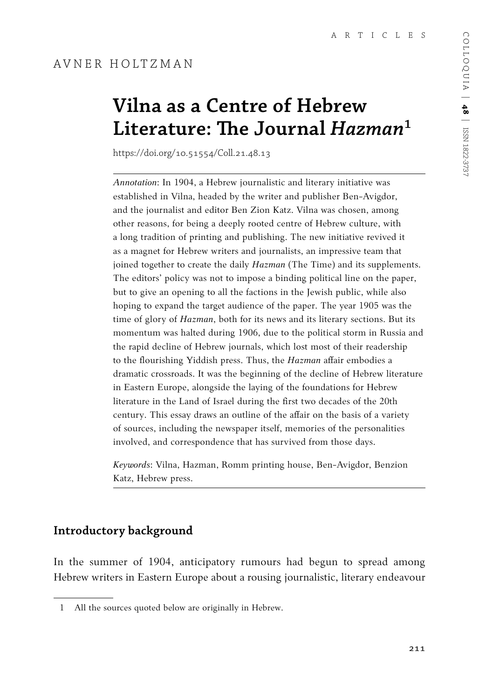# **Vilna as a Centre of Hebrew Literature: The Journal** *Hazman***<sup>1</sup>**

https://doi.org/10.51554/Coll.21.48.13

*Annotation*: In 1904, a Hebrew journalistic and literary initiative was established in Vilna, headed by the writer and publisher Ben-Avigdor, and the journalist and editor Ben Zion Katz. Vilna was chosen, among other reasons, for being a deeply rooted centre of Hebrew culture, with a long tradition of printing and publishing. The new initiative revived it as a magnet for Hebrew writers and journalists, an impressive team that joined together to create the daily *Hazman* (The Time) and its supplements. The editors' policy was not to impose a binding political line on the paper, but to give an opening to all the factions in the Jewish public, while also hoping to expand the target audience of the paper. The year 1905 was the time of glory of *Hazman*, both for its news and its literary sections. But its momentum was halted during 1906, due to the political storm in Russia and the rapid decline of Hebrew journals, which lost most of their readership to the flourishing Yiddish press. Thus, the *Hazman* affair embodies a dramatic crossroads. It was the beginning of the decline of Hebrew literature in Eastern Europe, alongside the laying of the foundations for Hebrew literature in the Land of Israel during the first two decades of the 20th century. This essay draws an outline of the affair on the basis of a variety of sources, including the newspaper itself, memories of the personalities involved, and correspondence that has survived from those days.

*Keywords*: Vilna, Hazman, Romm printing house, Ben-Avigdor, Benzion Katz, Hebrew press.

## **Introductory background**

In the summer of 1904, anticipatory rumours had begun to spread among Hebrew writers in Eastern Europe about a rousing journalistic, literary endeavour

<sup>1</sup> All the sources quoted below are originally in Hebrew.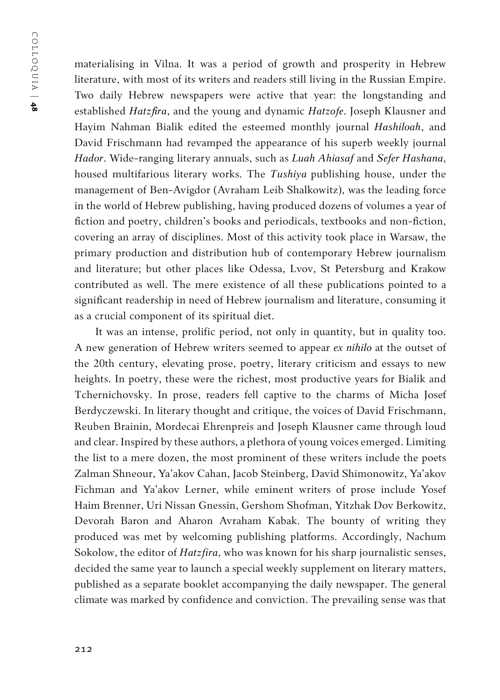materialising in Vilna. It was a period of growth and prosperity in Hebrew literature, with most of its writers and readers still living in the Russian Empire. Two daily Hebrew newspapers were active that year: the longstanding and established *Hatzfira*, and the young and dynamic *Hatzofe*. Joseph Klausner and Hayim Nahman Bialik edited the esteemed monthly journal *Hashiloah*, and David Frischmann had revamped the appearance of his superb weekly journal *Hador*. Wide-ranging literary annuals, such as *Luah Ahiasaf* and *Sefer Hashana*, housed multifarious literary works. The *Tushiya* publishing house, under the management of Ben-Avigdor (Avraham Leib Shalkowitz), was the leading force in the world of Hebrew publishing, having produced dozens of volumes a year of fiction and poetry, children's books and periodicals, textbooks and non-fiction, covering an array of disciplines. Most of this activity took place in Warsaw, the primary production and distribution hub of contemporary Hebrew journalism and literature; but other places like Odessa, Lvov, St Petersburg and Krakow contributed as well. The mere existence of all these publications pointed to a significant readership in need of Hebrew journalism and literature, consuming it as a crucial component of its spiritual diet.

It was an intense, prolific period, not only in quantity, but in quality too. A new generation of Hebrew writers seemed to appear *ex nihilo* at the outset of the 20th century, elevating prose, poetry, literary criticism and essays to new heights. In poetry, these were the richest, most productive years for Bialik and Tchernichovsky. In prose, readers fell captive to the charms of Micha Josef Berdyczewski. In literary thought and critique, the voices of David Frischmann, Reuben Brainin, Mordecai Ehrenpreis and Joseph Klausner came through loud and clear. Inspired by these authors, a plethora of young voices emerged. Limiting the list to a mere dozen, the most prominent of these writers include the poets Zalman Shneour, Ya'akov Cahan, Jacob Steinberg, David Shimonowitz, Ya'akov Fichman and Ya'akov Lerner, while eminent writers of prose include Yosef Haim Brenner, Uri Nissan Gnessin, Gershom Shofman, Yitzhak Dov Berkowitz, Devorah Baron and Aharon Avraham Kabak. The bounty of writing they produced was met by welcoming publishing platforms. Accordingly, Nachum Sokolow, the editor of *Hatzfira*, who was known for his sharp journalistic senses, decided the same year to launch a special weekly supplement on literary matters, published as a separate booklet accompanying the daily newspaper. The general climate was marked by confidence and conviction. The prevailing sense was that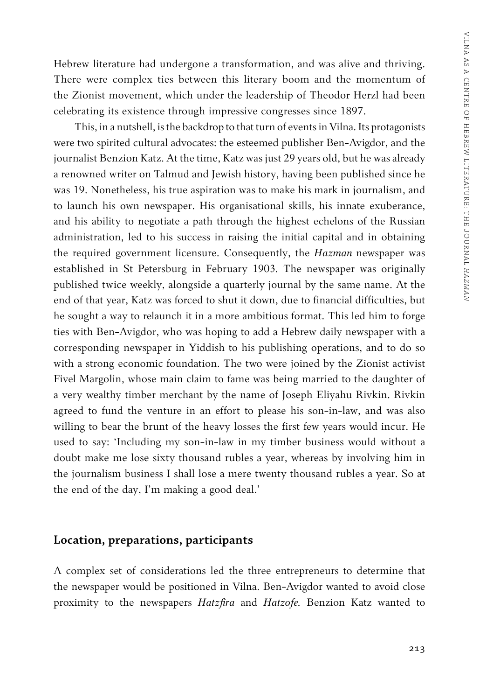Hebrew literature had undergone a transformation, and was alive and thriving. There were complex ties between this literary boom and the momentum of the Zionist movement, which under the leadership of Theodor Herzl had been celebrating its existence through impressive congresses since 1897.

This, in a nutshell, is the backdrop to that turn of events in Vilna. Its protagonists were two spirited cultural advocates: the esteemed publisher Ben-Avigdor, and the journalist Benzion Katz. At the time, Katz was just 29 years old, but he was already a renowned writer on Talmud and Jewish history, having been published since he was 19. Nonetheless, his true aspiration was to make his mark in journalism, and to launch his own newspaper. His organisational skills, his innate exuberance, and his ability to negotiate a path through the highest echelons of the Russian administration, led to his success in raising the initial capital and in obtaining the required government licensure. Consequently, the *Hazman* newspaper was established in St Petersburg in February 1903. The newspaper was originally published twice weekly, alongside a quarterly journal by the same name. At the end of that year, Katz was forced to shut it down, due to financial difficulties, but he sought a way to relaunch it in a more ambitious format. This led him to forge ties with Ben-Avigdor, who was hoping to add a Hebrew daily newspaper with a corresponding newspaper in Yiddish to his publishing operations, and to do so with a strong economic foundation. The two were joined by the Zionist activist Fivel Margolin, whose main claim to fame was being married to the daughter of a very wealthy timber merchant by the name of Joseph Eliyahu Rivkin. Rivkin agreed to fund the venture in an effort to please his son-in-law, and was also willing to bear the brunt of the heavy losses the first few years would incur. He used to say: 'Including my son-in-law in my timber business would without a doubt make me lose sixty thousand rubles a year, whereas by involving him in the journalism business I shall lose a mere twenty thousand rubles a year. So at the end of the day, I'm making a good deal.'

#### **Location, preparations, participants**

A complex set of considerations led the three entrepreneurs to determine that the newspaper would be positioned in Vilna. Ben-Avigdor wanted to avoid close proximity to the newspapers *Hatzfira* and *Hatzofe.* Benzion Katz wanted to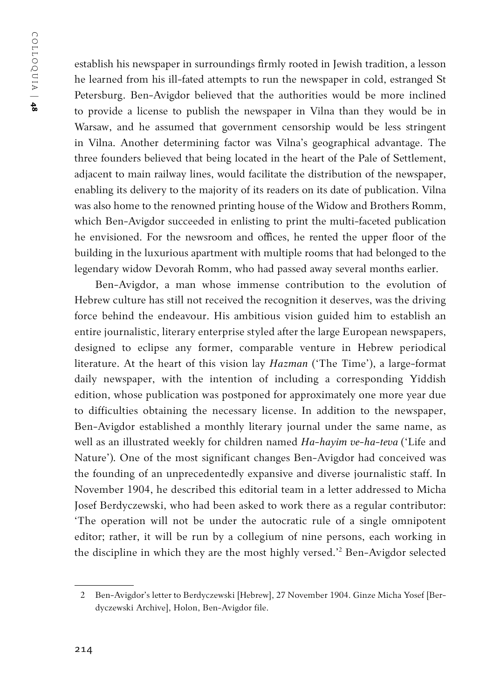establish his newspaper in surroundings firmly rooted in Jewish tradition, a lesson he learned from his ill-fated attempts to run the newspaper in cold, estranged St Petersburg. Ben-Avigdor believed that the authorities would be more inclined to provide a license to publish the newspaper in Vilna than they would be in Warsaw, and he assumed that government censorship would be less stringent in Vilna. Another determining factor was Vilna's geographical advantage. The three founders believed that being located in the heart of the Pale of Settlement, adjacent to main railway lines, would facilitate the distribution of the newspaper, enabling its delivery to the majority of its readers on its date of publication. Vilna was also home to the renowned printing house of the Widow and Brothers Romm, which Ben-Avigdor succeeded in enlisting to print the multi-faceted publication he envisioned. For the newsroom and offices, he rented the upper floor of the building in the luxurious apartment with multiple rooms that had belonged to the legendary widow Devorah Romm, who had passed away several months earlier.

Ben-Avigdor, a man whose immense contribution to the evolution of Hebrew culture has still not received the recognition it deserves, was the driving force behind the endeavour. His ambitious vision guided him to establish an entire journalistic, literary enterprise styled after the large European newspapers, designed to eclipse any former, comparable venture in Hebrew periodical literature. At the heart of this vision lay *Hazman* ('The Time'), a large-format daily newspaper, with the intention of including a corresponding Yiddish edition, whose publication was postponed for approximately one more year due to difficulties obtaining the necessary license. In addition to the newspaper, Ben-Avigdor established a monthly literary journal under the same name, as well as an illustrated weekly for children named *Ha-hayim ve-ha-teva* ('Life and Nature')*.*One of the most significant changes Ben-Avigdor had conceived was the founding of an unprecedentedly expansive and diverse journalistic staff. In November 1904, he described this editorial team in a letter addressed to Micha Josef Berdyczewski, who had been asked to work there as a regular contributor: 'The operation will not be under the autocratic rule of a single omnipotent editor; rather, it will be run by a collegium of nine persons, each working in the discipline in which they are the most highly versed.'2 Ben-Avigdor selected

<sup>2</sup> Ben-Avigdor's letter to Berdyczewski [Hebrew], 27 November 1904. Ginze Micha Yosef [Berdyczewski Archive], Holon, Ben-Avigdor file.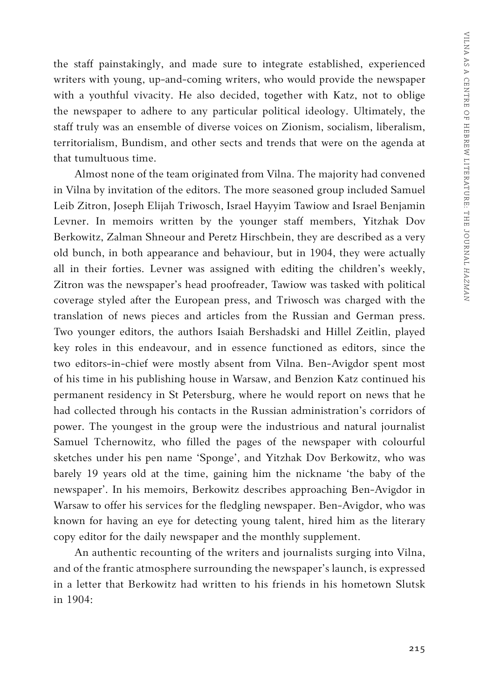the staff painstakingly, and made sure to integrate established, experienced writers with young, up-and-coming writers, who would provide the newspaper with a youthful vivacity. He also decided, together with Katz, not to oblige the newspaper to adhere to any particular political ideology. Ultimately, the staff truly was an ensemble of diverse voices on Zionism, socialism, liberalism, territorialism, Bundism, and other sects and trends that were on the agenda at that tumultuous time.

Almost none of the team originated from Vilna. The majority had convened in Vilna by invitation of the editors. The more seasoned group included Samuel Leib Zitron, Joseph Elijah Triwosch, Israel Hayyim Tawiow and Israel Benjamin Levner. In memoirs written by the younger staff members, Yitzhak Dov Berkowitz, Zalman Shneour and Peretz Hirschbein, they are described as a very old bunch, in both appearance and behaviour, but in 1904, they were actually all in their forties. Levner was assigned with editing the children's weekly, Zitron was the newspaper's head proofreader, Tawiow was tasked with political coverage styled after the European press, and Triwosch was charged with the translation of news pieces and articles from the Russian and German press. Two younger editors, the authors Isaiah Bershadski and Hillel Zeitlin, played key roles in this endeavour, and in essence functioned as editors, since the two editors-in-chief were mostly absent from Vilna. Ben-Avigdor spent most of his time in his publishing house in Warsaw, and Benzion Katz continued his permanent residency in St Petersburg, where he would report on news that he had collected through his contacts in the Russian administration's corridors of power. The youngest in the group were the industrious and natural journalist Samuel Tchernowitz, who filled the pages of the newspaper with colourful sketches under his pen name 'Sponge', and Yitzhak Dov Berkowitz, who was barely 19 years old at the time, gaining him the nickname 'the baby of the newspaper'. In his memoirs, Berkowitz describes approaching Ben-Avigdor in Warsaw to offer his services for the fledgling newspaper. Ben-Avigdor, who was known for having an eye for detecting young talent, hired him as the literary copy editor for the daily newspaper and the monthly supplement.

An authentic recounting of the writers and journalists surging into Vilna, and of the frantic atmosphere surrounding the newspaper's launch, is expressed in a letter that Berkowitz had written to his friends in his hometown Slutsk in 1904: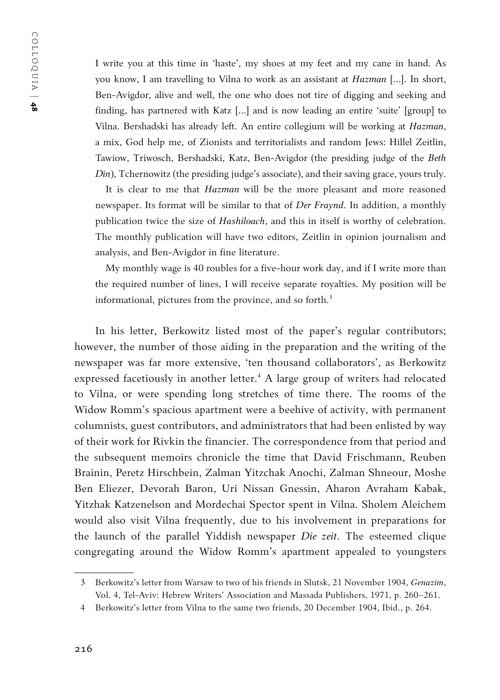I write you at this time in 'haste', my shoes at my feet and my cane in hand. As you know, I am travelling to Vilna to work as an assistant at *Hazman* […]. In short, Ben-Avigdor, alive and well, the one who does not tire of digging and seeking and finding, has partnered with Katz […] and is now leading an entire 'suite' [group] to Vilna. Bershadski has already left. An entire collegium will be working at *Hazman*, a mix, God help me, of Zionists and territorialists and random Jews: Hillel Zeitlin, Tawiow, Triwosch, Bershadski, Katz, Ben-Avigdor (the presiding judge of the *Beth* 

It is clear to me that *Hazman* will be the more pleasant and more reasoned newspaper. Its format will be similar to that of *Der Fraynd*. In addition, a monthly publication twice the size of *Hashiloach*, and this in itself is worthy of celebration. The monthly publication will have two editors, Zeitlin in opinion journalism and analysis, and Ben-Avigdor in fine literature.

*Din*), Tchernowitz (the presiding judge's associate), and their saving grace, yours truly.

My monthly wage is 40 roubles for a five-hour work day, and if I write more than the required number of lines, I will receive separate royalties. My position will be informational, pictures from the province, and so forth.<sup>3</sup>

In his letter, Berkowitz listed most of the paper's regular contributors; however, the number of those aiding in the preparation and the writing of the newspaper was far more extensive, 'ten thousand collaborators', as Berkowitz expressed facetiously in another letter.<sup>4</sup> A large group of writers had relocated to Vilna, or were spending long stretches of time there. The rooms of the Widow Romm's spacious apartment were a beehive of activity, with permanent columnists, guest contributors, and administrators that had been enlisted by way of their work for Rivkin the financier. The correspondence from that period and the subsequent memoirs chronicle the time that David Frischmann, Reuben Brainin, Peretz Hirschbein, Zalman Yitzchak Anochi, Zalman Shneour, Moshe Ben Eliezer, Devorah Baron, Uri Nissan Gnessin, Aharon Avraham Kabak, Yitzhak Katzenelson and Mordechai Spector spent in Vilna. Sholem Aleichem would also visit Vilna frequently, due to his involvement in preparations for the launch of the parallel Yiddish newspaper *Die zeit*. The esteemed clique congregating around the Widow Romm's apartment appealed to youngsters

<sup>3</sup> Berkowitz's letter from Warsaw to two of his friends in Slutsk, 21 November 1904, *Genazim*, Vol. 4, Tel-Aviv: Hebrew Writers' Association and Massada Publishers, 1971, p. 260–261.

<sup>4</sup> Berkowitz's letter from Vilna to the same two friends, 20 December 1904, Ibid., p. 264.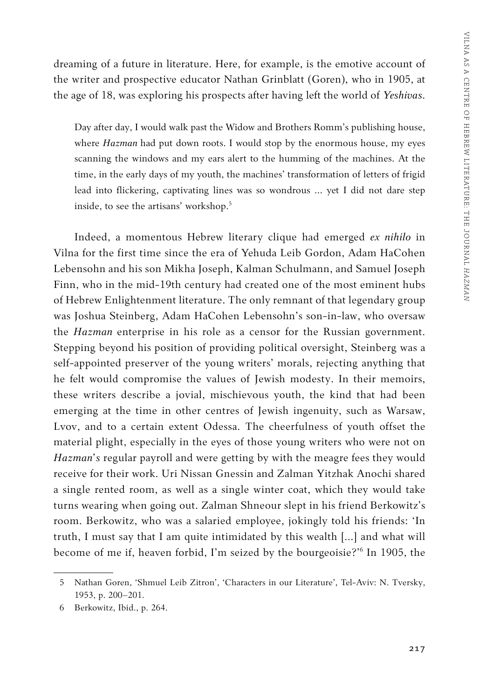dreaming of a future in literature. Here, for example, is the emotive account of the writer and prospective educator Nathan Grinblatt (Goren), who in 1905, at the age of 18, was exploring his prospects after having left the world of *Yeshivas*.

Day after day, I would walk past the Widow and Brothers Romm's publishing house, where *Hazman* had put down roots. I would stop by the enormous house, my eyes scanning the windows and my ears alert to the humming of the machines. At the time, in the early days of my youth, the machines' transformation of letters of frigid lead into flickering, captivating lines was so wondrous … yet I did not dare step inside, to see the artisans' workshop.<sup>5</sup>

Indeed, a momentous Hebrew literary clique had emerged *ex nihilo* in Vilna for the first time since the era of Yehuda Leib Gordon, Adam HaCohen Lebensohn and his son Mikha Joseph, Kalman Schulmann, and Samuel Joseph Finn, who in the mid-19th century had created one of the most eminent hubs of Hebrew Enlightenment literature. The only remnant of that legendary group was Joshua Steinberg, Adam HaCohen Lebensohn's son-in-law, who oversaw the *Hazman* enterprise in his role as a censor for the Russian government. Stepping beyond his position of providing political oversight, Steinberg was a self-appointed preserver of the young writers' morals, rejecting anything that he felt would compromise the values of Jewish modesty. In their memoirs, these writers describe a jovial, mischievous youth, the kind that had been emerging at the time in other centres of Jewish ingenuity, such as Warsaw, Lvov, and to a certain extent Odessa. The cheerfulness of youth offset the material plight, especially in the eyes of those young writers who were not on *Hazman's* regular payroll and were getting by with the meagre fees they would receive for their work. Uri Nissan Gnessin and Zalman Yitzhak Anochi shared a single rented room, as well as a single winter coat, which they would take turns wearing when going out. Zalman Shneour slept in his friend Berkowitz's room. Berkowitz, who was a salaried employee, jokingly told his friends: 'In truth, I must say that I am quite intimidated by this wealth […] and what will become of me if, heaven forbid, I'm seized by the bourgeoisie?'<sup>6</sup> In 1905, the

<sup>5</sup> Nathan Goren, 'Shmuel Leib Zitron', 'Characters in our Literature', Tel-Aviv: N. Tversky, 1953, p. 200–201.

<sup>6</sup> Berkowitz, Ibid., p. 264.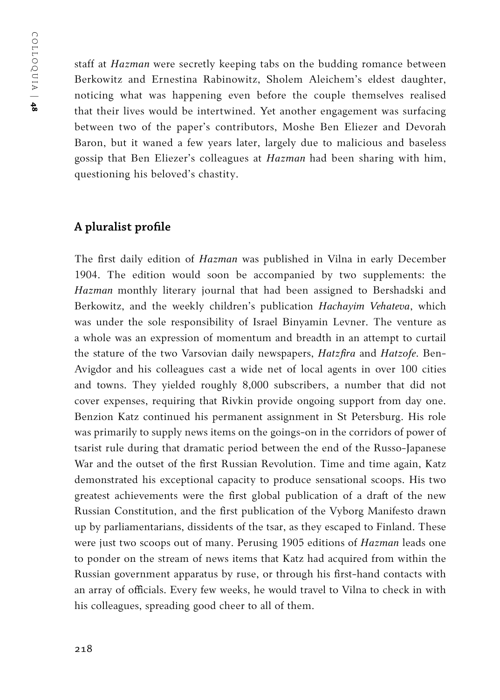staff at *Hazman* were secretly keeping tabs on the budding romance between Berkowitz and Ernestina Rabinowitz, Sholem Aleichem's eldest daughter, noticing what was happening even before the couple themselves realised that their lives would be intertwined. Yet another engagement was surfacing between two of the paper's contributors, Moshe Ben Eliezer and Devorah Baron, but it waned a few years later, largely due to malicious and baseless gossip that Ben Eliezer's colleagues at *Hazman* had been sharing with him, questioning his beloved's chastity.

## **A pluralist profile**

The first daily edition of *Hazman* was published in Vilna in early December 1904. The edition would soon be accompanied by two supplements: the *Hazman* monthly literary journal that had been assigned to Bershadski and Berkowitz, and the weekly children's publication *Hachayim Vehateva*, which was under the sole responsibility of Israel Binyamin Levner. The venture as a whole was an expression of momentum and breadth in an attempt to curtail the stature of the two Varsovian daily newspapers, *Hatzfira* and *Hatzofe*. Ben-Avigdor and his colleagues cast a wide net of local agents in over 100 cities and towns. They yielded roughly 8,000 subscribers, a number that did not cover expenses, requiring that Rivkin provide ongoing support from day one. Benzion Katz continued his permanent assignment in St Petersburg. His role was primarily to supply news items on the goings-on in the corridors of power of tsarist rule during that dramatic period between the end of the Russo-Japanese War and the outset of the first Russian Revolution. Time and time again, Katz demonstrated his exceptional capacity to produce sensational scoops. His two greatest achievements were the first global publication of a draft of the new Russian Constitution, and the first publication of the Vyborg Manifesto drawn up by parliamentarians, dissidents of the tsar, as they escaped to Finland. These were just two scoops out of many. Perusing 1905 editions of *Hazman* leads one to ponder on the stream of news items that Katz had acquired from within the Russian government apparatus by ruse, or through his first-hand contacts with an array of officials. Every few weeks, he would travel to Vilna to check in with his colleagues, spreading good cheer to all of them.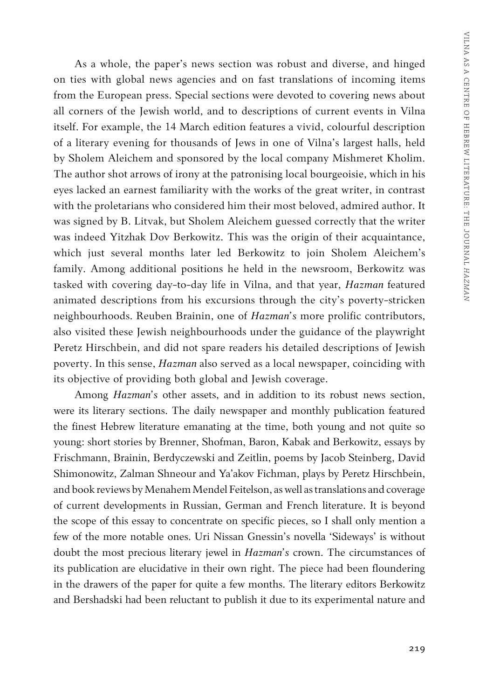As a whole, the paper's news section was robust and diverse, and hinged on ties with global news agencies and on fast translations of incoming items from the European press. Special sections were devoted to covering news about all corners of the Jewish world, and to descriptions of current events in Vilna itself. For example, the 14 March edition features a vivid, colourful description of a literary evening for thousands of Jews in one of Vilna's largest halls, held by Sholem Aleichem and sponsored by the local company Mishmeret Kholim. The author shot arrows of irony at the patronising local bourgeoisie, which in his eyes lacked an earnest familiarity with the works of the great writer, in contrast with the proletarians who considered him their most beloved, admired author. It was signed by B. Litvak, but Sholem Aleichem guessed correctly that the writer was indeed Yitzhak Dov Berkowitz. This was the origin of their acquaintance, which just several months later led Berkowitz to join Sholem Aleichem's family. Among additional positions he held in the newsroom, Berkowitz was tasked with covering day-to-day life in Vilna, and that year, *Hazman* featured animated descriptions from his excursions through the city's poverty-stricken neighbourhoods. Reuben Brainin, one of *Hazman's* more prolific contributors, also visited these Jewish neighbourhoods under the guidance of the playwright Peretz Hirschbein, and did not spare readers his detailed descriptions of Jewish poverty. In this sense, *Hazman* also served as a local newspaper, coinciding with its objective of providing both global and Jewish coverage.

Among *Hazman's* other assets, and in addition to its robust news section, were its literary sections. The daily newspaper and monthly publication featured the finest Hebrew literature emanating at the time, both young and not quite so young: short stories by Brenner, Shofman, Baron, Kabak and Berkowitz, essays by Frischmann, Brainin, Berdyczewski and Zeitlin, poems by Jacob Steinberg, David Shimonowitz, Zalman Shneour and Ya'akov Fichman, plays by Peretz Hirschbein, and book reviews by Menahem Mendel Feitelson, as well as translations and coverage of current developments in Russian, German and French literature. It is beyond the scope of this essay to concentrate on specific pieces, so I shall only mention a few of the more notable ones. Uri Nissan Gnessin's novella 'Sideways' is without doubt the most precious literary jewel in *Hazman's* crown. The circumstances of its publication are elucidative in their own right. The piece had been floundering in the drawers of the paper for quite a few months. The literary editors Berkowitz and Bershadski had been reluctant to publish it due to its experimental nature and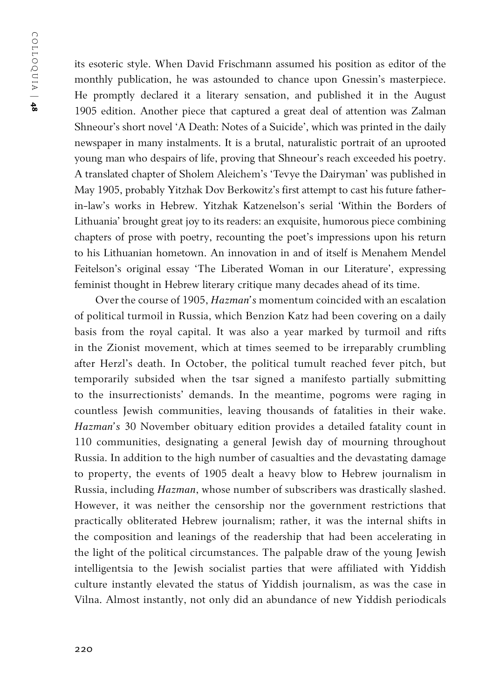its esoteric style. When David Frischmann assumed his position as editor of the monthly publication, he was astounded to chance upon Gnessin's masterpiece. He promptly declared it a literary sensation, and published it in the August 1905 edition. Another piece that captured a great deal of attention was Zalman Shneour's short novel 'A Death: Notes of a Suicide', which was printed in the daily newspaper in many instalments. It is a brutal, naturalistic portrait of an uprooted young man who despairs of life, proving that Shneour's reach exceeded his poetry. A translated chapter of Sholem Aleichem's 'Tevye the Dairyman' was published in May 1905, probably Yitzhak Dov Berkowitz's first attempt to cast his future fatherin-law's works in Hebrew. Yitzhak Katzenelson's serial 'Within the Borders of Lithuania' brought great joy to its readers: an exquisite, humorous piece combining chapters of prose with poetry, recounting the poet's impressions upon his return to his Lithuanian hometown. An innovation in and of itself is Menahem Mendel Feitelson's original essay 'The Liberated Woman in our Literature', expressing feminist thought in Hebrew literary critique many decades ahead of its time.

Over the course of 1905, *Hazman's* momentum coincided with an escalation of political turmoil in Russia, which Benzion Katz had been covering on a daily basis from the royal capital. It was also a year marked by turmoil and rifts in the Zionist movement, which at times seemed to be irreparably crumbling after Herzl's death. In October, the political tumult reached fever pitch, but temporarily subsided when the tsar signed a manifesto partially submitting to the insurrectionists' demands. In the meantime, pogroms were raging in countless Jewish communities, leaving thousands of fatalities in their wake. *Hazman's* 30 November obituary edition provides a detailed fatality count in 110 communities, designating a general Jewish day of mourning throughout Russia. In addition to the high number of casualties and the devastating damage to property, the events of 1905 dealt a heavy blow to Hebrew journalism in Russia, including *Hazman*, whose number of subscribers was drastically slashed. However, it was neither the censorship nor the government restrictions that practically obliterated Hebrew journalism; rather, it was the internal shifts in the composition and leanings of the readership that had been accelerating in the light of the political circumstances. The palpable draw of the young Jewish intelligentsia to the Jewish socialist parties that were affiliated with Yiddish culture instantly elevated the status of Yiddish journalism, as was the case in Vilna. Almost instantly, not only did an abundance of new Yiddish periodicals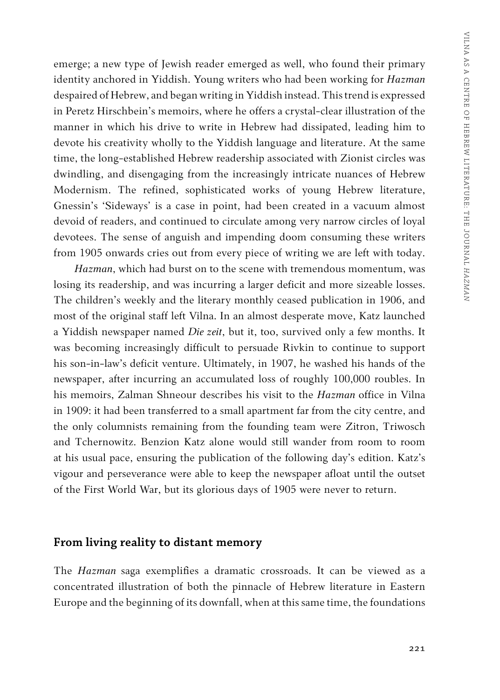emerge; a new type of Jewish reader emerged as well, who found their primary identity anchored in Yiddish. Young writers who had been working for *Hazman* despaired of Hebrew, and began writing in Yiddish instead. This trend is expressed in Peretz Hirschbein's memoirs, where he offers a crystal-clear illustration of the manner in which his drive to write in Hebrew had dissipated, leading him to devote his creativity wholly to the Yiddish language and literature. At the same time, the long-established Hebrew readership associated with Zionist circles was dwindling, and disengaging from the increasingly intricate nuances of Hebrew Modernism. The refined, sophisticated works of young Hebrew literature, Gnessin's 'Sideways' is a case in point, had been created in a vacuum almost devoid of readers, and continued to circulate among very narrow circles of loyal devotees. The sense of anguish and impending doom consuming these writers from 1905 onwards cries out from every piece of writing we are left with today.

*Hazman*, which had burst on to the scene with tremendous momentum, was losing its readership, and was incurring a larger deficit and more sizeable losses. The children's weekly and the literary monthly ceased publication in 1906, and most of the original staff left Vilna. In an almost desperate move, Katz launched a Yiddish newspaper named *Die zeit*, but it, too, survived only a few months. It was becoming increasingly difficult to persuade Rivkin to continue to support his son-in-law's deficit venture. Ultimately, in 1907, he washed his hands of the newspaper, after incurring an accumulated loss of roughly 100,000 roubles. In his memoirs, Zalman Shneour describes his visit to the *Hazman* office in Vilna in 1909: it had been transferred to a small apartment far from the city centre, and the only columnists remaining from the founding team were Zitron, Triwosch and Tchernowitz. Benzion Katz alone would still wander from room to room at his usual pace, ensuring the publication of the following day's edition. Katz's vigour and perseverance were able to keep the newspaper afloat until the outset of the First World War, but its glorious days of 1905 were never to return.

#### **From living reality to distant memory**

The *Hazman* saga exemplifies a dramatic crossroads. It can be viewed as a concentrated illustration of both the pinnacle of Hebrew literature in Eastern Europe and the beginning of its downfall, when at this same time, the foundations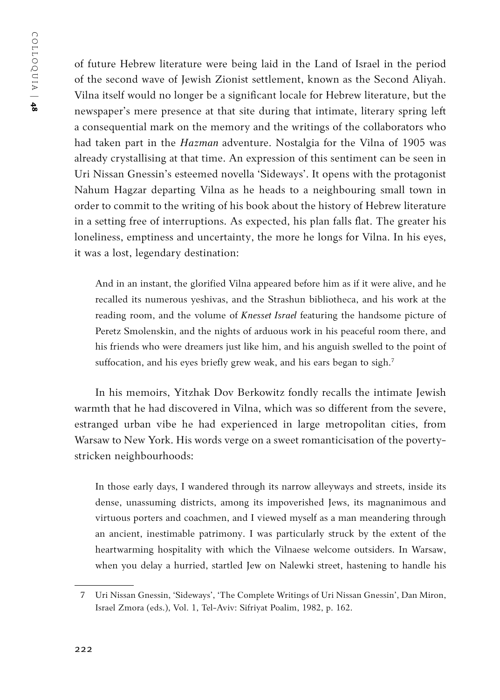of future Hebrew literature were being laid in the Land of Israel in the period of the second wave of Jewish Zionist settlement, known as the Second Aliyah. Vilna itself would no longer be a significant locale for Hebrew literature, but the newspaper's mere presence at that site during that intimate, literary spring left a consequential mark on the memory and the writings of the collaborators who had taken part in the *Hazman* adventure. Nostalgia for the Vilna of 1905 was already crystallising at that time. An expression of this sentiment can be seen in Uri Nissan Gnessin's esteemed novella 'Sideways'. It opens with the protagonist Nahum Hagzar departing Vilna as he heads to a neighbouring small town in order to commit to the writing of his book about the history of Hebrew literature in a setting free of interruptions. As expected, his plan falls flat. The greater his loneliness, emptiness and uncertainty, the more he longs for Vilna. In his eyes, it was a lost, legendary destination:

And in an instant, the glorified Vilna appeared before him as if it were alive, and he recalled its numerous yeshivas, and the Strashun bibliotheca, and his work at the reading room, and the volume of *Knesset Israel* featuring the handsome picture of Peretz Smolenskin, and the nights of arduous work in his peaceful room there, and his friends who were dreamers just like him, and his anguish swelled to the point of suffocation, and his eyes briefly grew weak, and his ears began to sigh.<sup>7</sup>

In his memoirs, Yitzhak Dov Berkowitz fondly recalls the intimate Jewish warmth that he had discovered in Vilna, which was so different from the severe, estranged urban vibe he had experienced in large metropolitan cities, from Warsaw to New York. His words verge on a sweet romanticisation of the povertystricken neighbourhoods:

In those early days, I wandered through its narrow alleyways and streets, inside its dense, unassuming districts, among its impoverished Jews, its magnanimous and virtuous porters and coachmen, and I viewed myself as a man meandering through an ancient, inestimable patrimony. I was particularly struck by the extent of the heartwarming hospitality with which the Vilnaese welcome outsiders. In Warsaw, when you delay a hurried, startled Jew on Nalewki street, hastening to handle his

<sup>7</sup> Uri Nissan Gnessin, 'Sideways', 'The Complete Writings of Uri Nissan Gnessin', Dan Miron, Israel Zmora (eds.), Vol. 1, Tel-Aviv: Sifriyat Poalim, 1982, p. 162.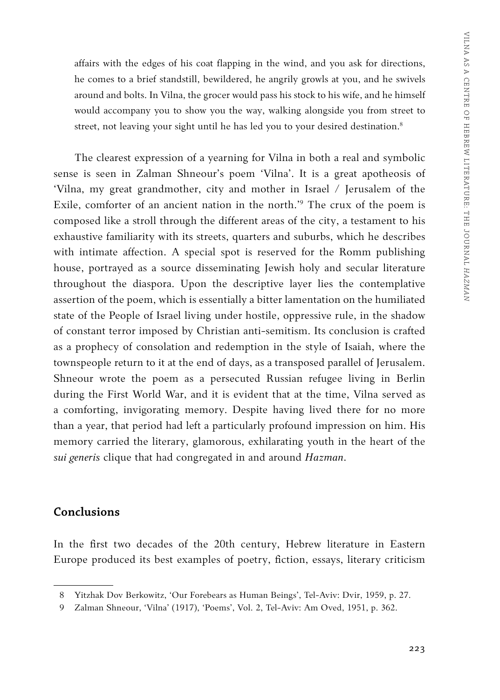affairs with the edges of his coat flapping in the wind, and you ask for directions, he comes to a brief standstill, bewildered, he angrily growls at you, and he swivels around and bolts. In Vilna, the grocer would pass his stock to his wife, and he himself would accompany you to show you the way, walking alongside you from street to street, not leaving your sight until he has led you to your desired destination.<sup>8</sup>

The clearest expression of a yearning for Vilna in both a real and symbolic sense is seen in Zalman Shneour's poem 'Vilna'. It is a great apotheosis of 'Vilna, my great grandmother, city and mother in Israel / Jerusalem of the Exile, comforter of an ancient nation in the north.'9 The crux of the poem is composed like a stroll through the different areas of the city, a testament to his exhaustive familiarity with its streets, quarters and suburbs, which he describes with intimate affection. A special spot is reserved for the Romm publishing house, portrayed as a source disseminating Jewish holy and secular literature throughout the diaspora. Upon the descriptive layer lies the contemplative assertion of the poem, which is essentially a bitter lamentation on the humiliated state of the People of Israel living under hostile, oppressive rule, in the shadow of constant terror imposed by Christian anti-semitism. Its conclusion is crafted as a prophecy of consolation and redemption in the style of Isaiah, where the townspeople return to it at the end of days, as a transposed parallel of Jerusalem. Shneour wrote the poem as a persecuted Russian refugee living in Berlin during the First World War, and it is evident that at the time, Vilna served as a comforting, invigorating memory. Despite having lived there for no more than a year, that period had left a particularly profound impression on him. His memory carried the literary, glamorous, exhilarating youth in the heart of the *sui generis* clique that had congregated in and around *Hazman*.

#### **Conclusions**

In the first two decades of the 20th century, Hebrew literature in Eastern Europe produced its best examples of poetry, fiction, essays, literary criticism

<sup>8</sup> Yitzhak Dov Berkowitz, 'Our Forebears as Human Beings', Tel-Aviv: Dvir, 1959, p. 27.

<sup>9</sup> Zalman Shneour, 'Vilna' (1917), 'Poems', Vol. 2, Tel-Aviv: Am Oved, 1951, p. 362.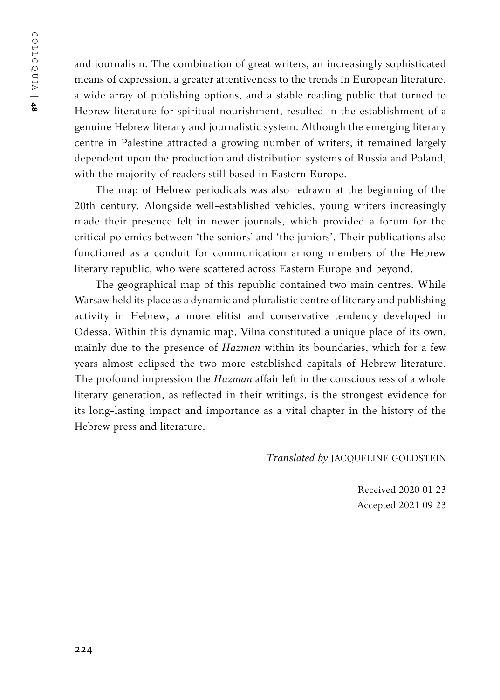and journalism. The combination of great writers, an increasingly sophisticated means of expression, a greater attentiveness to the trends in European literature, a wide array of publishing options, and a stable reading public that turned to Hebrew literature for spiritual nourishment, resulted in the establishment of a genuine Hebrew literary and journalistic system. Although the emerging literary centre in Palestine attracted a growing number of writers, it remained largely dependent upon the production and distribution systems of Russia and Poland, with the majority of readers still based in Eastern Europe.

The map of Hebrew periodicals was also redrawn at the beginning of the 20th century. Alongside well-established vehicles, young writers increasingly made their presence felt in newer journals, which provided a forum for the critical polemics between 'the seniors' and 'the juniors'. Their publications also functioned as a conduit for communication among members of the Hebrew literary republic, who were scattered across Eastern Europe and beyond.

The geographical map of this republic contained two main centres. While Warsaw held its place as a dynamic and pluralistic centre of literary and publishing activity in Hebrew, a more elitist and conservative tendency developed in Odessa. Within this dynamic map, Vilna constituted a unique place of its own, mainly due to the presence of *Hazman* within its boundaries, which for a few years almost eclipsed the two more established capitals of Hebrew literature. The profound impression the *Hazman* affair left in the consciousness of a whole literary generation, as reflected in their writings, is the strongest evidence for its long-lasting impact and importance as a vital chapter in the history of the Hebrew press and literature.

*Translated by* JACQUELINE GOLDSTEIN

Received 2020 01 23 Accepted 2021 09 23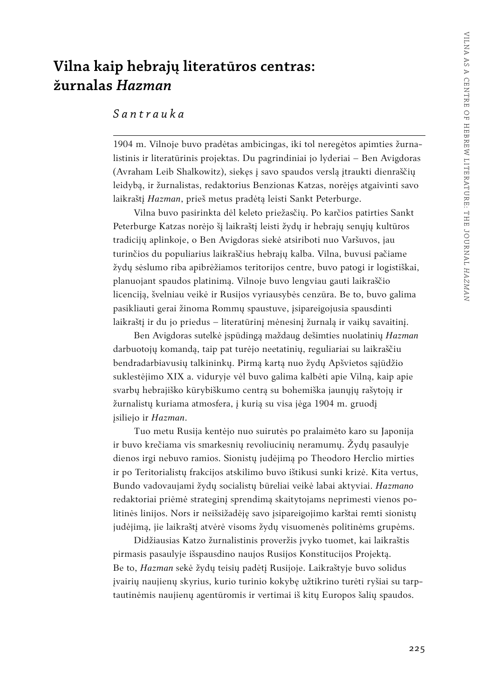# **Vilna kaip hebrajų literatūros centras: žurnalas** *Hazman*

#### *Santrauka*

1904 m. Vilnoje buvo pradėtas ambicingas, iki tol neregėtos apimties žurnalistinis ir literatūrinis projektas. Du pagrindiniai jo lyderiai – Ben Avigdoras (Avraham Leib Shalkowitz), siekęs į savo spaudos verslą įtraukti dienraščių leidybą, ir žurnalistas, redaktorius Benzionas Katzas, norėjęs atgaivinti savo laikraštį *Hazman*, prieš metus pradėtą leisti Sankt Peterburge.

Vilna buvo pasirinkta dėl keleto priežasčių. Po karčios patirties Sankt Peterburge Katzas norėjo šį laikraštį leisti žydų ir hebrajų senųjų kultūros tradicijų aplinkoje, o Ben Avigdoras siekė atsiriboti nuo Varšuvos, jau turinčios du populiarius laikraščius hebrajų kalba. Vilna, buvusi pačiame žydų sėslumo riba apibrėžiamos teritorijos centre, buvo patogi ir logistiškai, planuojant spaudos platinimą. Vilnoje buvo lengviau gauti laikraščio licenciją, švelniau veikė ir Rusijos vyriausybės cenzūra. Be to, buvo galima pasikliauti gerai žinoma Rommų spaustuve, įsipareigojusia spausdinti laikraštį ir du jo priedus – literatūrinį mėnesinį žurnalą ir vaikų savaitinį.

Ben Avigdoras sutelkė įspūdingą maždaug dešimties nuolatinių *Hazman* darbuotojų komandą, taip pat turėjo neetatinių, reguliariai su laikraščiu bendradarbiavusių talkininkų. Pirmą kartą nuo žydų Apšvietos sąjūdžio suklestėjimo XIX a. viduryje vėl buvo galima kalbėti apie Vilną, kaip apie svarbų hebrajiško kūrybiškumo centrą su bohemiška jaunųjų rašytojų ir žurnalistų kuriama atmosfera, į kurią su visa jėga 1904 m. gruodį įsiliejo ir *Hazman*.

Tuo metu Rusija kentėjo nuo suirutės po pralaimėto karo su Japonija ir buvo krečiama vis smarkesnių revoliucinių neramumų. Žydų pasaulyje dienos irgi nebuvo ramios. Sionistų judėjimą po Theodoro Herclio mirties ir po Teritorialistų frakcijos atskilimo buvo ištikusi sunki krizė. Kita vertus, Bundo vadovaujami žydų socialistų būreliai veikė labai aktyviai. *Hazmano* redaktoriai priėmė strateginį sprendimą skaitytojams neprimesti vienos politinės linijos. Nors ir neišsižadėję savo įsipareigojimo karštai remti sionistų judėjimą, jie laikraštį atvėrė visoms žydų visuomenės politinėms grupėms.

Didžiausias Katzo žurnalistinis proveržis įvyko tuomet, kai laikraštis pirmasis pasaulyje išspausdino naujos Rusijos Konstitucijos Projektą. Be to, *Hazman* sekė žydų teisių padėtį Rusijoje. Laikraštyje buvo solidus įvairių naujienų skyrius, kurio turinio kokybę užtikrino turėti ryšiai su tarptautinėmis naujienų agentūromis ir vertimai iš kitų Europos šalių spaudos.